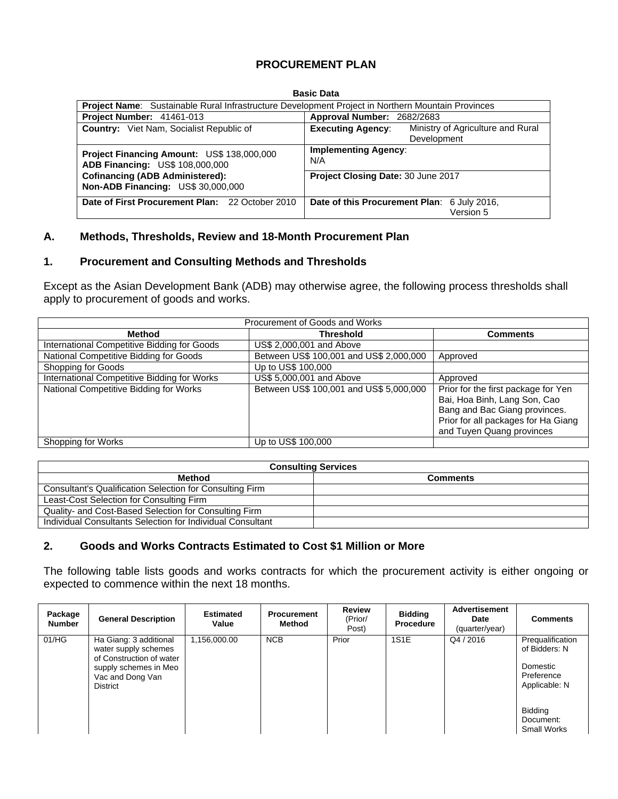### **PROCUREMENT PLAN**

|                                                                                     | Dasit Dala                                                                                               |  |  |  |  |  |  |  |  |  |
|-------------------------------------------------------------------------------------|----------------------------------------------------------------------------------------------------------|--|--|--|--|--|--|--|--|--|
|                                                                                     | <b>Project Name:</b> Sustainable Rural Infrastructure Development Project in Northern Mountain Provinces |  |  |  |  |  |  |  |  |  |
| Project Number: 41461-013                                                           | Approval Number: 2682/2683                                                                               |  |  |  |  |  |  |  |  |  |
| <b>Country:</b> Viet Nam, Socialist Republic of                                     | Ministry of Agriculture and Rural<br><b>Executing Agency:</b><br>Development                             |  |  |  |  |  |  |  |  |  |
| Project Financing Amount: US\$ 138,000,000<br>ADB Financing: US\$ 108,000,000       | <b>Implementing Agency:</b><br>N/A                                                                       |  |  |  |  |  |  |  |  |  |
| <b>Cofinancing (ADB Administered):</b><br><b>Non-ADB Financing: US\$ 30,000,000</b> | Project Closing Date: 30 June 2017                                                                       |  |  |  |  |  |  |  |  |  |
| Date of First Procurement Plan: 22 October 2010                                     | Date of this Procurement Plan: 6 July 2016,<br>Version 5                                                 |  |  |  |  |  |  |  |  |  |

#### **Basic Data**

#### **A. Methods, Thresholds, Review and 18-Month Procurement Plan**

#### **1. Procurement and Consulting Methods and Thresholds**

Except as the Asian Development Bank (ADB) may otherwise agree, the following process thresholds shall apply to procurement of goods and works.

| Procurement of Goods and Works              |                                         |                                                                                                                                                                          |  |  |  |  |  |  |
|---------------------------------------------|-----------------------------------------|--------------------------------------------------------------------------------------------------------------------------------------------------------------------------|--|--|--|--|--|--|
| Method                                      | Threshold                               | <b>Comments</b>                                                                                                                                                          |  |  |  |  |  |  |
| International Competitive Bidding for Goods | US\$ 2,000,001 and Above                |                                                                                                                                                                          |  |  |  |  |  |  |
| National Competitive Bidding for Goods      | Between US\$ 100,001 and US\$ 2,000,000 | Approved                                                                                                                                                                 |  |  |  |  |  |  |
| Shopping for Goods                          | Up to US\$ 100,000                      |                                                                                                                                                                          |  |  |  |  |  |  |
| International Competitive Bidding for Works | US\$ 5,000,001 and Above                | Approved                                                                                                                                                                 |  |  |  |  |  |  |
| National Competitive Bidding for Works      | Between US\$ 100,001 and US\$ 5,000,000 | Prior for the first package for Yen<br>Bai, Hoa Binh, Lang Son, Cao<br>Bang and Bac Giang provinces.<br>Prior for all packages for Ha Giang<br>and Tuyen Quang provinces |  |  |  |  |  |  |
| Shopping for Works                          | Up to US\$ 100,000                      |                                                                                                                                                                          |  |  |  |  |  |  |

| <b>Consulting Services</b>                                 |                 |  |  |  |  |  |
|------------------------------------------------------------|-----------------|--|--|--|--|--|
| Method                                                     | <b>Comments</b> |  |  |  |  |  |
| Consultant's Qualification Selection for Consulting Firm   |                 |  |  |  |  |  |
| Least-Cost Selection for Consulting Firm                   |                 |  |  |  |  |  |
| Quality- and Cost-Based Selection for Consulting Firm      |                 |  |  |  |  |  |
| Individual Consultants Selection for Individual Consultant |                 |  |  |  |  |  |

#### **2. Goods and Works Contracts Estimated to Cost \$1 Million or More**

The following table lists goods and works contracts for which the procurement activity is either ongoing or expected to commence within the next 18 months.

| Package<br><b>Number</b> | <b>General Description</b>                                                                                                          | <b>Estimated</b><br>Value | <b>Procurement</b><br>Method | <b>Review</b><br>(Prior/<br>Post) | <b>Bidding</b><br>Procedure | <b>Advertisement</b><br>Date<br>(quarter/year) | <b>Comments</b>                                                              |
|--------------------------|-------------------------------------------------------------------------------------------------------------------------------------|---------------------------|------------------------------|-----------------------------------|-----------------------------|------------------------------------------------|------------------------------------------------------------------------------|
| 01/HG                    | Ha Giang: 3 additional<br>water supply schemes<br>of Construction of water<br>supply schemes in Meo<br>Vac and Dong Van<br>District | 1,156,000.00              | <b>NCB</b>                   | Prior                             | 1S1E                        | Q4 / 2016                                      | Prequalification<br>of Bidders: N<br>Domestic<br>Preference<br>Applicable: N |
|                          |                                                                                                                                     |                           |                              |                                   |                             |                                                | Bidding<br>Document:<br><b>Small Works</b>                                   |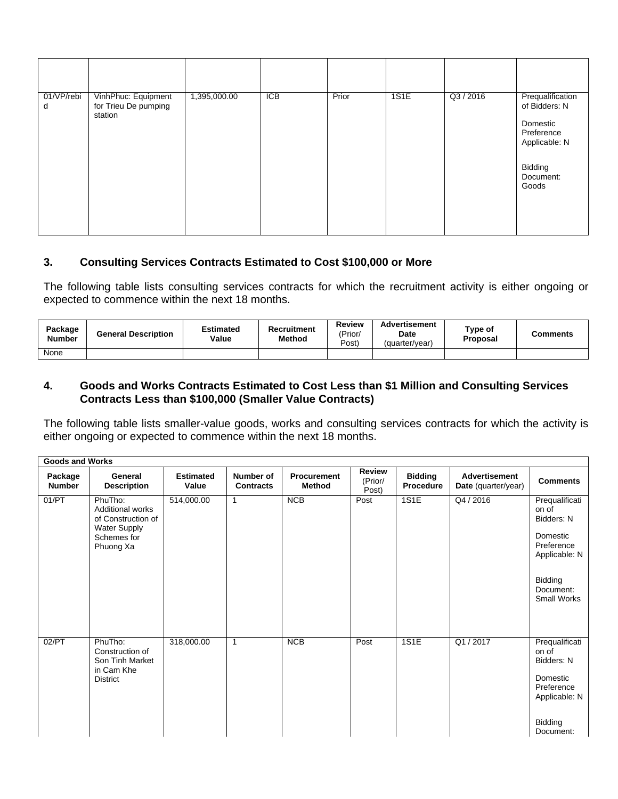| 01/VP/rebi<br>d | VinhPhuc: Equipment<br>for Trieu De pumping<br>station | 1,395,000.00 | ICB | Prior | 1S1E | Q3 / 2016 | Prequalification<br>of Bidders: N<br>Domestic<br>Preference<br>Applicable: N<br>Bidding<br>Document:<br>Goods |
|-----------------|--------------------------------------------------------|--------------|-----|-------|------|-----------|---------------------------------------------------------------------------------------------------------------|

### **3. Consulting Services Contracts Estimated to Cost \$100,000 or More**

The following table lists consulting services contracts for which the recruitment activity is either ongoing or expected to commence within the next 18 months.

| Package<br><b>Number</b> | <b>General Description</b> | <b>Estimated</b><br>Value | Recruitment<br><b>Method</b> | Review<br>'Prior <sub>/</sub><br>Post) | <b>Advertisement</b><br>Date<br>(quarter/year) | Type of<br>Proposal | <b>Comments</b> |
|--------------------------|----------------------------|---------------------------|------------------------------|----------------------------------------|------------------------------------------------|---------------------|-----------------|
| None                     |                            |                           |                              |                                        |                                                |                     |                 |

### **4. Goods and Works Contracts Estimated to Cost Less than \$1 Million and Consulting Services Contracts Less than \$100,000 (Smaller Value Contracts)**

The following table lists smaller-value goods, works and consulting services contracts for which the activity is either ongoing or expected to commence within the next 18 months.

|                          | <b>Goods and Works</b>                                                                  |                           |                               |                                     |                                   |                                    |                                             |                                                   |  |
|--------------------------|-----------------------------------------------------------------------------------------|---------------------------|-------------------------------|-------------------------------------|-----------------------------------|------------------------------------|---------------------------------------------|---------------------------------------------------|--|
| Package<br><b>Number</b> | General<br><b>Description</b>                                                           | <b>Estimated</b><br>Value | Number of<br><b>Contracts</b> | <b>Procurement</b><br><b>Method</b> | <b>Review</b><br>(Prior/<br>Post) | <b>Bidding</b><br><b>Procedure</b> | <b>Advertisement</b><br>Date (quarter/year) | <b>Comments</b>                                   |  |
| 01/PT                    | PhuTho:<br>Additional works<br>of Construction of<br><b>Water Supply</b><br>Schemes for | 514,000.00                | 1                             | NCB                                 | Post                              | 1S1E                               | Q4 / 2016                                   | Prequalificati<br>on of<br>Bidders: N<br>Domestic |  |
|                          | Phuong Xa                                                                               |                           |                               |                                     |                                   |                                    |                                             | Preference<br>Applicable: N                       |  |
|                          |                                                                                         |                           |                               |                                     |                                   |                                    |                                             | <b>Bidding</b><br>Document:<br>Small Works        |  |
| 02/PT                    | PhuTho:<br>Construction of<br>Son Tinh Market<br>in Cam Khe                             | 318,000.00                | 1                             | <b>NCB</b>                          | Post                              | 1S1E                               | Q1 / 2017                                   | Prequalificati<br>on of<br>Bidders: N             |  |
|                          | <b>District</b>                                                                         |                           |                               |                                     |                                   |                                    |                                             | Domestic<br>Preference<br>Applicable: N           |  |
|                          |                                                                                         |                           |                               |                                     |                                   |                                    |                                             | Bidding<br>Document:                              |  |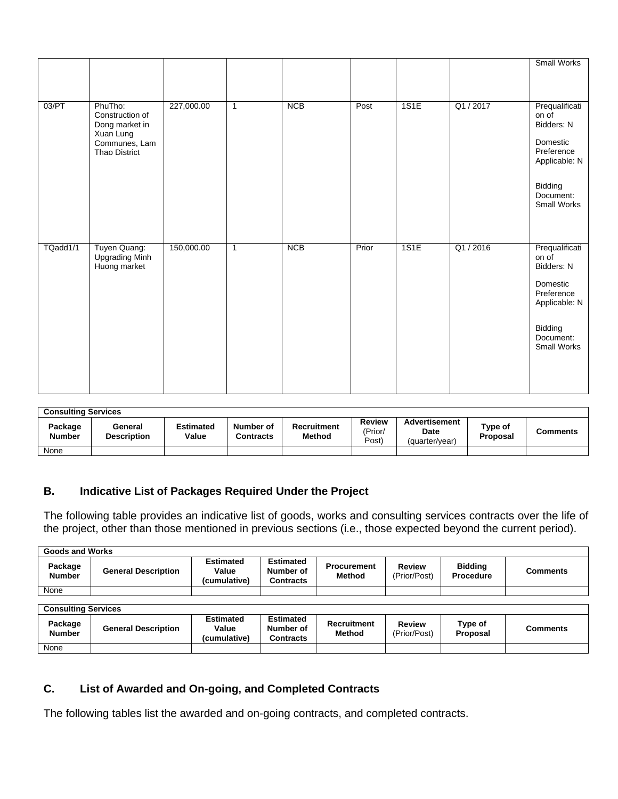|          |                                                                                             |            |              |            |       |      |           | Small Works                                                                                                             |
|----------|---------------------------------------------------------------------------------------------|------------|--------------|------------|-------|------|-----------|-------------------------------------------------------------------------------------------------------------------------|
| 03/PT    | PhuTho:<br>Construction of<br>Dong market in<br>Xuan Lung<br>Communes, Lam<br>Thao District | 227,000.00 | $\mathbf{1}$ | <b>NCB</b> | Post  | 1S1E | Q1 / 2017 | Prequalificati<br>on of<br>Bidders: N<br>Domestic<br>Preference<br>Applicable: N                                        |
|          |                                                                                             |            |              |            |       |      |           | Bidding<br>Document:<br>Small Works                                                                                     |
| TQadd1/1 | Tuyen Quang:<br><b>Upgrading Minh</b><br>Huong market                                       | 150,000.00 | $\mathbf{1}$ | <b>NCB</b> | Prior | 1S1E | Q1/2016   | Prequalificati<br>on of<br>Bidders: N<br>Domestic<br>Preference<br>Applicable: N<br>Bidding<br>Document:<br>Small Works |

| <b>Consulting Services</b> |                               |                           |                               |                              |                                   |                                                |                     |          |  |  |
|----------------------------|-------------------------------|---------------------------|-------------------------------|------------------------------|-----------------------------------|------------------------------------------------|---------------------|----------|--|--|
| Package<br>Number          | General<br><b>Description</b> | <b>Estimated</b><br>Value | Number of<br><b>Contracts</b> | Recruitment<br><b>Method</b> | <b>Review</b><br>(Prior/<br>Post) | <b>Advertisement</b><br>Date<br>(quarter/year) | Type of<br>Proposal | Comments |  |  |
| None                       |                               |                           |                               |                              |                                   |                                                |                     |          |  |  |

# **B. Indicative List of Packages Required Under the Project**

The following table provides an indicative list of goods, works and consulting services contracts over the life of the project, other than those mentioned in previous sections (i.e., those expected beyond the current period).

|                            | <b>Goods and Works</b>     |                                           |                                                   |                                     |                               |                                    |                 |  |  |
|----------------------------|----------------------------|-------------------------------------------|---------------------------------------------------|-------------------------------------|-------------------------------|------------------------------------|-----------------|--|--|
| Package<br><b>Number</b>   | <b>General Description</b> | <b>Estimated</b><br>Value<br>(cumulative) | <b>Estimated</b><br>Number of<br><b>Contracts</b> | <b>Procurement</b><br><b>Method</b> | <b>Review</b><br>(Prior/Post) | <b>Bidding</b><br><b>Procedure</b> | <b>Comments</b> |  |  |
| None                       |                            |                                           |                                                   |                                     |                               |                                    |                 |  |  |
|                            |                            |                                           |                                                   |                                     |                               |                                    |                 |  |  |
| <b>Consulting Services</b> |                            |                                           |                                                   |                                     |                               |                                    |                 |  |  |
| Package<br><b>Number</b>   | <b>General Description</b> | <b>Estimated</b><br>Value<br>(cumulative) | <b>Estimated</b><br>Number of<br><b>Contracts</b> | <b>Recruitment</b><br><b>Method</b> | <b>Review</b><br>(Prior/Post) | Type of<br>Proposal                | <b>Comments</b> |  |  |
| None                       |                            |                                           |                                                   |                                     |                               |                                    |                 |  |  |

# **C. List of Awarded and On-going, and Completed Contracts**

The following tables list the awarded and on-going contracts, and completed contracts.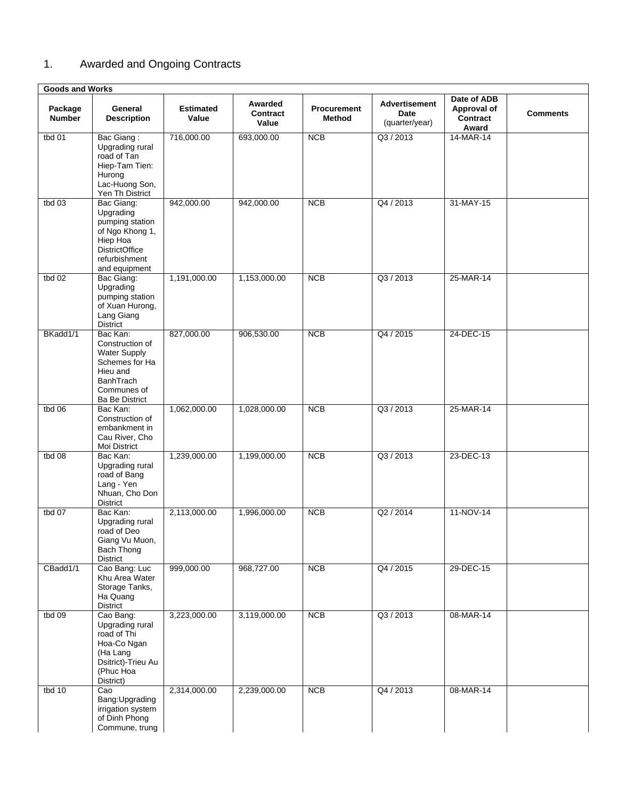# 1. Awarded and Ongoing Contracts

| <b>Goods and Works</b>   |                                                                                                                                              |                           |                              |                       |                                                |                                                 |                 |
|--------------------------|----------------------------------------------------------------------------------------------------------------------------------------------|---------------------------|------------------------------|-----------------------|------------------------------------------------|-------------------------------------------------|-----------------|
| Package<br><b>Number</b> | General<br><b>Description</b>                                                                                                                | <b>Estimated</b><br>Value | Awarded<br>Contract<br>Value | Procurement<br>Method | <b>Advertisement</b><br>Date<br>(quarter/year) | Date of ADB<br>Approval of<br>Contract<br>Award | <b>Comments</b> |
| tbd $01$                 | Bac Giang:<br>Upgrading rural<br>road of Tan<br>Hiep-Tam Tien:<br>Hurong<br>Lac-Huong Son,<br>Yen Th District                                | 716,000.00                | 693,000.00                   | <b>NCB</b>            | Q3 / 2013                                      | 14-MAR-14                                       |                 |
| tbd 03                   | Bac Giang:<br>Upgrading<br>pumping station<br>of Ngo Khong 1,<br>Hiep Hoa<br><b>DistrictOffice</b><br>refurbishment<br>and equipment         | 942,000.00                | 942,000.00                   | NCB                   | Q4 / 2013                                      | 31-MAY-15                                       |                 |
| tbd $02$                 | Bac Giang:<br>Upgrading<br>pumping station<br>of Xuan Hurong,<br>Lang Giang<br>District                                                      | 1,191,000.00              | 1,153,000.00                 | <b>NCB</b>            | Q3 / 2013                                      | 25-MAR-14                                       |                 |
| BKadd1/1                 | Bac Kan:<br>Construction of<br><b>Water Supply</b><br>Schemes for Ha<br>Hieu and<br><b>BanhTrach</b><br>Communes of<br><b>Ba Be District</b> | 827,000.00                | 906,530.00                   | <b>NCB</b>            | Q4 / 2015                                      | 24-DEC-15                                       |                 |
| tbd $06$                 | Bac Kan:<br>Construction of<br>embankment in<br>Cau River, Cho<br>Moi District                                                               | 1,062,000.00              | 1,028,000.00                 | <b>NCB</b>            | Q3 / 2013                                      | 25-MAR-14                                       |                 |
| tbd $08$                 | Bac Kan:<br>Upgrading rural<br>road of Bang<br>Lang - Yen<br>Nhuan, Cho Don<br>District                                                      | 1,239,000.00              | 1,199,000.00                 | <b>NCB</b>            | Q3 / 2013                                      | 23-DEC-13                                       |                 |
| tbd 07                   | Bac Kan:<br>Upgrading rural<br>road of Deo<br>Giang Vu Muon,<br>Bach Thong<br>District                                                       | 2,113,000.00              | 1,996,000.00                 | NCB                   | Q2 / 2014                                      | 11-NOV-14                                       |                 |
| CBadd1/1                 | Cao Bang: Luc<br>Khu Area Water<br>Storage Tanks,<br>Ha Quang<br><b>District</b>                                                             | 999,000.00                | 968,727.00                   | <b>NCB</b>            | Q4 / 2015                                      | 29-DEC-15                                       |                 |
| tbd $09$                 | Cao Bang:<br>Upgrading rural<br>road of Thi<br>Hoa-Co Ngan<br>(Ha Lang<br>Dsitrict)-Trieu Au<br>(Phuc Hoa<br>District)                       | 3,223,000.00              | 3,119,000.00                 | <b>NCB</b>            | Q3 / 2013                                      | 08-MAR-14                                       |                 |
| tbd $10$                 | Cao<br>Bang: Upgrading<br>irrigation system<br>of Dinh Phong<br>Commune, trung                                                               | 2,314,000.00              | 2,239,000.00                 | <b>NCB</b>            | Q4 / 2013                                      | 08-MAR-14                                       |                 |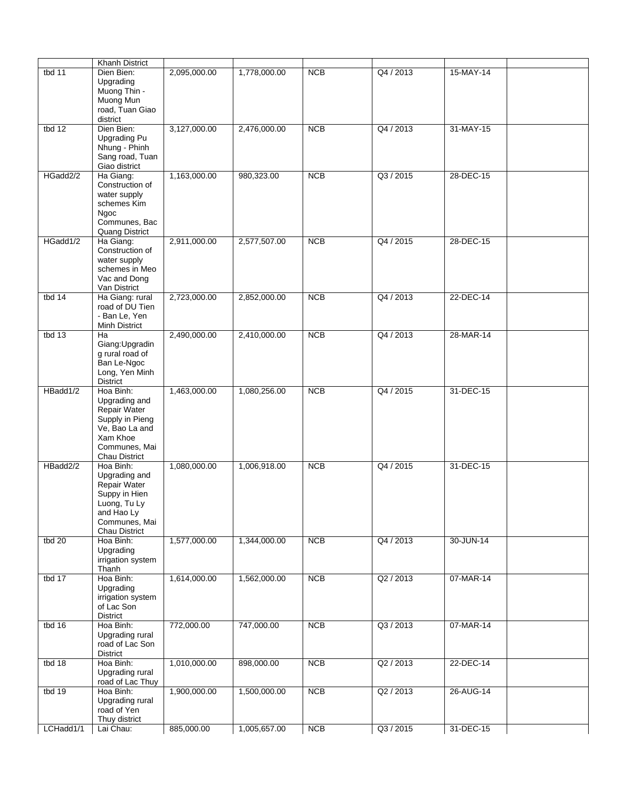|           | <b>Khanh District</b>                                                                                                         |              |              |            |           |           |  |
|-----------|-------------------------------------------------------------------------------------------------------------------------------|--------------|--------------|------------|-----------|-----------|--|
| tbd $11$  | Dien Bien:<br>Upgrading<br>Muong Thin -<br>Muong Mun<br>road, Tuan Giao<br>district                                           | 2,095,000.00 | 1,778,000.00 | <b>NCB</b> | Q4 / 2013 | 15-MAY-14 |  |
| tbd $12$  | Dien Bien:<br>Upgrading Pu<br>Nhung - Phinh<br>Sang road, Tuan<br>Giao district                                               | 3,127,000.00 | 2,476,000.00 | NCB        | Q4 / 2013 | 31-MAY-15 |  |
| HGadd2/2  | Ha Giang:<br>Construction of<br>water supply<br>schemes Kim<br>Ngoc<br>Communes, Bac<br><b>Quang District</b>                 | 1,163,000.00 | 980,323.00   | NCB        | Q3 / 2015 | 28-DEC-15 |  |
| HGadd1/2  | Ha Giang:<br>Construction of<br>water supply<br>schemes in Meo<br>Vac and Dong<br>Van District                                | 2,911,000.00 | 2,577,507.00 | NCB        | Q4 / 2015 | 28-DEC-15 |  |
| tbd $14$  | Ha Giang: rural<br>road of DU Tien<br>- Ban Le, Yen<br>Minh District                                                          | 2,723,000.00 | 2,852,000.00 | NCB        | Q4 / 2013 | 22-DEC-14 |  |
| tbd $13$  | Ha<br>Giang: Upgradin<br>g rural road of<br>Ban Le-Ngoc<br>Long, Yen Minh<br>District                                         | 2,490,000.00 | 2,410,000.00 | NCB        | Q4 / 2013 | 28-MAR-14 |  |
| HBadd1/2  | Hoa Binh:<br>Upgrading and<br>Repair Water<br>Supply in Pieng<br>Ve, Bao La and<br>Xam Khoe<br>Communes, Mai<br>Chau District | 1,463,000.00 | 1,080,256.00 | NCB        | Q4 / 2015 | 31-DEC-15 |  |
| HBadd2/2  | Hoa Binh:<br>Upgrading and<br>Repair Water<br>Suppy in Hien<br>Luong, Tu Ly<br>and Hao Ly<br>Communes, Mai<br>Chau District   | 1,080,000.00 | 1,006,918.00 | NCB        | Q4 / 2015 | 31-DEC-15 |  |
| tbd $20$  | Hoa Binh:<br>Upgrading<br>irrigation system<br>Thanh                                                                          | 1,577,000.00 | 1,344,000.00 | NCB        | Q4 / 2013 | 30-JUN-14 |  |
| tbd $17$  | Hoa Binh:<br>Upgrading<br>irrigation system<br>of Lac Son<br><b>District</b>                                                  | 1,614,000.00 | 1,562,000.00 | NCB        | Q2 / 2013 | 07-MAR-14 |  |
| tbd $16$  | Hoa Binh:<br>Upgrading rural<br>road of Lac Son<br>District                                                                   | 772,000.00   | 747,000.00   | NCB        | Q3 / 2013 | 07-MAR-14 |  |
| tbd $18$  | Hoa Binh:<br>Upgrading rural<br>road of Lac Thuy                                                                              | 1,010,000.00 | 898,000.00   | <b>NCB</b> | Q2 / 2013 | 22-DEC-14 |  |
| tbd $19$  | Hoa Binh:<br>Upgrading rural<br>road of Yen<br>Thuy district                                                                  | 1,900,000.00 | 1,500,000.00 | NCB        | Q2 / 2013 | 26-AUG-14 |  |
| LCHadd1/1 | Lai Chau:                                                                                                                     | 885,000.00   | 1,005,657.00 | <b>NCB</b> | Q3 / 2015 | 31-DEC-15 |  |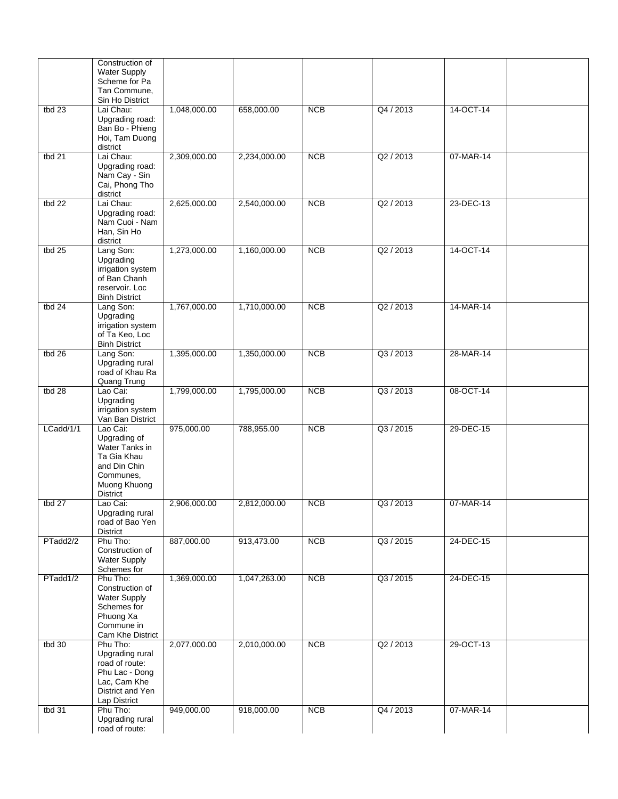|           | Construction of<br><b>Water Supply</b><br>Scheme for Pa<br>Tan Commune,                                             |              |              |            |           |           |  |
|-----------|---------------------------------------------------------------------------------------------------------------------|--------------|--------------|------------|-----------|-----------|--|
|           | Sin Ho District                                                                                                     |              |              |            |           |           |  |
| tbd $23$  | Lai Chau:<br>Upgrading road:<br>Ban Bo - Phieng<br>Hoi, Tam Duong<br>district                                       | 1,048,000.00 | 658,000.00   | NCB        | Q4 / 2013 | 14-OCT-14 |  |
| tbd $21$  | Lai Chau:<br>Upgrading road:<br>Nam Cay - Sin<br>Cai, Phong Tho<br>district                                         | 2,309,000.00 | 2,234,000.00 | NCB        | Q2 / 2013 | 07-MAR-14 |  |
| tbd $22$  | Lai Chau:<br>Upgrading road:<br>Nam Cuoi - Nam<br>Han, Sin Ho<br>district                                           | 2,625,000.00 | 2,540,000.00 | NCB        | Q2 / 2013 | 23-DEC-13 |  |
| tbd $25$  | Lang Son:<br>Upgrading<br>irrigation system<br>of Ban Chanh<br>reservoir. Loc<br><b>Binh District</b>               | 1,273,000.00 | 1,160,000.00 | NCB        | Q2 / 2013 | 14-OCT-14 |  |
| tbd $24$  | Lang Son:<br>Upgrading<br>irrigation system<br>of Ta Keo, Loc<br><b>Binh District</b>                               | 1,767,000.00 | 1,710,000.00 | <b>NCB</b> | Q2 / 2013 | 14-MAR-14 |  |
| tbd $26$  | Lang Son:<br>Upgrading rural<br>road of Khau Ra<br>Quang Trung                                                      | 1,395,000.00 | 1,350,000.00 | <b>NCB</b> | Q3 / 2013 | 28-MAR-14 |  |
| tbd $28$  | Lao Cai:<br>Upgrading<br>irrigation system<br>Van Ban District                                                      | 1,799,000.00 | 1,795,000.00 | NCB        | Q3 / 2013 | 08-OCT-14 |  |
| LCadd/1/1 | Lao Cai:<br>Upgrading of<br>Water Tanks in<br>Ta Gia Khau<br>and Din Chin<br>Communes,<br>Muong Khuong<br>District  | 975,000.00   | 788,955.00   | NCB        | Q3 / 2015 | 29-DEC-15 |  |
| tbd 27    | Lao Cai:<br>Upgrading rural<br>road of Bao Yen<br><b>District</b>                                                   | 2,906,000.00 | 2,812,000.00 | <b>NCB</b> | Q3 / 2013 | 07-MAR-14 |  |
| PTadd2/2  | Phu Tho:<br>Construction of<br><b>Water Supply</b><br>Schemes for                                                   | 887,000.00   | 913,473.00   | <b>NCB</b> | Q3 / 2015 | 24-DEC-15 |  |
| PTadd1/2  | Phu Tho:<br>Construction of<br><b>Water Supply</b><br>Schemes for<br>Phuong Xa<br>Commune in<br>Cam Khe District    | 1,369,000.00 | 1,047,263.00 | NCB        | Q3 / 2015 | 24-DEC-15 |  |
| tbd $30$  | Phu Tho:<br>Upgrading rural<br>road of route:<br>Phu Lac - Dong<br>Lac, Cam Khe<br>District and Yen<br>Lap District | 2,077,000.00 | 2,010,000.00 | NCB        | Q2 / 2013 | 29-OCT-13 |  |
| tbd $31$  | Phu Tho:<br>Upgrading rural<br>road of route:                                                                       | 949,000.00   | 918,000.00   | <b>NCB</b> | Q4 / 2013 | 07-MAR-14 |  |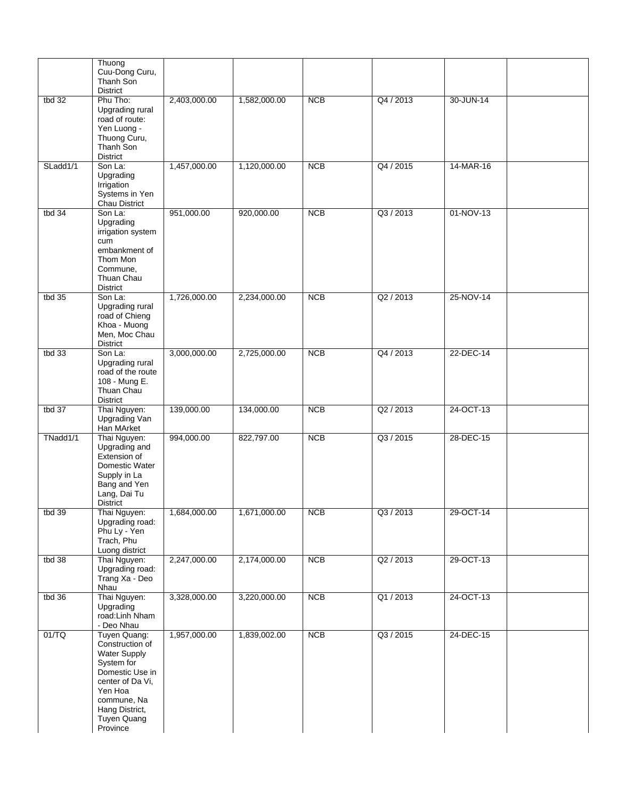|          | Thuong<br>Cuu-Dong Curu,<br>Thanh Son<br><b>District</b>                                                                                                                           |              |              |            |           |           |  |
|----------|------------------------------------------------------------------------------------------------------------------------------------------------------------------------------------|--------------|--------------|------------|-----------|-----------|--|
| tbd $32$ | Phu Tho:<br>Upgrading rural<br>road of route:<br>Yen Luong -<br>Thuong Curu,<br>Thanh Son<br><b>District</b>                                                                       | 2,403,000.00 | 1,582,000.00 | <b>NCB</b> | Q4 / 2013 | 30-JUN-14 |  |
| SLadd1/1 | Son La:<br>Upgrading<br>Irrigation<br>Systems in Yen<br>Chau District                                                                                                              | 1,457,000.00 | 1,120,000.00 | NCB        | Q4 / 2015 | 14-MAR-16 |  |
| tbd $34$ | Son La:<br>Upgrading<br>irrigation system<br>cum<br>embankment of<br>Thom Mon<br>Commune,<br>Thuan Chau<br>District                                                                | 951,000.00   | 920,000.00   | <b>NCB</b> | Q3 / 2013 | 01-NOV-13 |  |
| tbd $35$ | Son La:<br>Upgrading rural<br>road of Chieng<br>Khoa - Muong<br>Men, Moc Chau<br>District                                                                                          | 1,726,000.00 | 2,234,000.00 | NCB        | Q2 / 2013 | 25-NOV-14 |  |
| tbd $33$ | Son La:<br>Upgrading rural<br>road of the route<br>108 - Mung E.<br>Thuan Chau<br><b>District</b>                                                                                  | 3,000,000.00 | 2,725,000.00 | NCB        | Q4 / 2013 | 22-DEC-14 |  |
| tbd $37$ | Thai Nguyen:<br>Upgrading Van<br>Han MArket                                                                                                                                        | 139,000.00   | 134,000.00   | <b>NCB</b> | Q2 / 2013 | 24-OCT-13 |  |
| TNadd1/1 | Thai Nguyen:<br>Upgrading and<br>Extension of<br>Domestic Water<br>Supply in La<br>Bang and Yen<br>Lang, Dai Tu<br><b>District</b>                                                 | 994,000.00   | 822,797.00   | NCB        | Q3 / 2015 | 28-DEC-15 |  |
| tbd 39   | Thai Nguyen:<br>Upgrading road:<br>Phu Ly - Yen<br>Trach, Phu<br>Luong district                                                                                                    | 1,684,000.00 | 1,671,000.00 | <b>NCB</b> | Q3 / 2013 | 29-OCT-14 |  |
| tbd 38   | Thai Nguyen:<br>Upgrading road:<br>Trang Xa - Deo<br>Nhau                                                                                                                          | 2,247,000.00 | 2,174,000.00 | <b>NCB</b> | Q2 / 2013 | 29-OCT-13 |  |
| tbd $36$ | Thai Nguyen:<br>Upgrading<br>road:Linh Nham<br>- Deo Nhau                                                                                                                          | 3,328,000.00 | 3,220,000.00 | <b>NCB</b> | Q1/2013   | 24-OCT-13 |  |
| 01/TQ    | Tuyen Quang:<br>Construction of<br><b>Water Supply</b><br>System for<br>Domestic Use in<br>center of Da Vi,<br>Yen Hoa<br>commune, Na<br>Hang District,<br>Tuyen Quang<br>Province | 1,957,000.00 | 1,839,002.00 | <b>NCB</b> | Q3 / 2015 | 24-DEC-15 |  |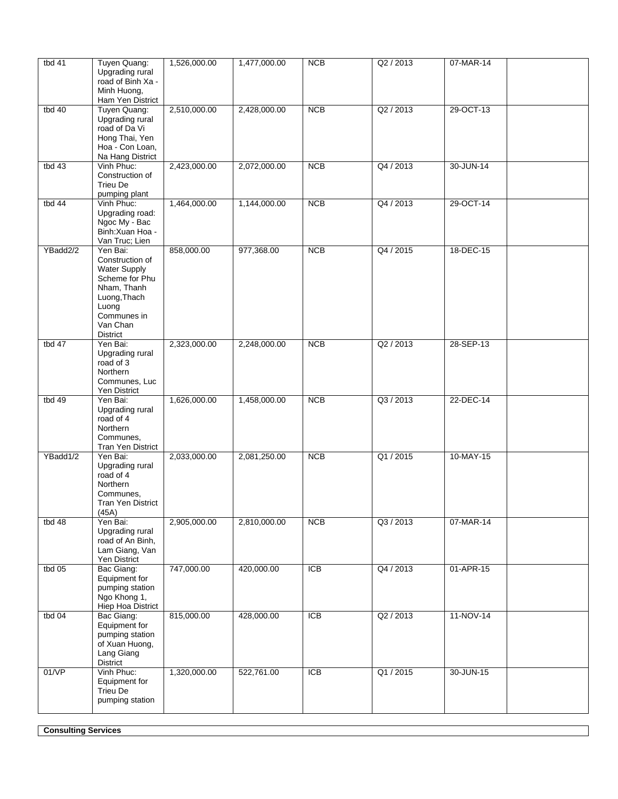| tbd 41   | Tuyen Quang:<br>Upgrading rural<br>road of Binh Xa -                                                                                                       | 1,526,000.00 | 1,477,000.00 | <b>NCB</b>       | Q2 / 2013 | 07-MAR-14 |
|----------|------------------------------------------------------------------------------------------------------------------------------------------------------------|--------------|--------------|------------------|-----------|-----------|
|          | Minh Huong,<br>Ham Yen District                                                                                                                            |              |              |                  |           |           |
| tbd 40   | Tuyen Quang:<br>Upgrading rural<br>road of Da Vi<br>Hong Thai, Yen<br>Hoa - Con Loan,<br>Na Hang District                                                  | 2,510,000.00 | 2,428,000.00 | NCB              | Q2 / 2013 | 29-OCT-13 |
| tbd $43$ | Vinh Phuc:<br>Construction of<br>Trieu De<br>pumping plant                                                                                                 | 2,423,000.00 | 2,072,000.00 | <b>NCB</b>       | Q4 / 2013 | 30-JUN-14 |
| tbd 44   | Vinh Phuc:<br>Upgrading road:<br>Ngoc My - Bac<br>Binh: Xuan Hoa -<br>Van Truc; Lien                                                                       | 1,464,000.00 | 1,144,000.00 | <b>NCB</b>       | Q4 / 2013 | 29-OCT-14 |
| YBadd2/2 | Yen Bai:<br>Construction of<br><b>Water Supply</b><br>Scheme for Phu<br>Nham, Thanh<br>Luong, Thach<br>Luong<br>Communes in<br>Van Chan<br><b>District</b> | 858,000.00   | 977,368.00   | NCB              | Q4 / 2015 | 18-DEC-15 |
| tbd $47$ | Yen Bai:<br>Upgrading rural<br>road of 3<br>Northern<br>Communes, Luc<br>Yen District                                                                      | 2,323,000.00 | 2,248,000.00 | NCB              | Q2 / 2013 | 28-SEP-13 |
| tbd 49   | Yen Bai:<br>Upgrading rural<br>road of 4<br>Northern<br>Communes,<br>Tran Yen District                                                                     | 1,626,000.00 | 1,458,000.00 | NCB              | Q3 / 2013 | 22-DEC-14 |
| YBadd1/2 | Yen Bai:<br>Upgrading rural<br>road of 4<br>Northern<br>Communes,<br><b>Tran Yen District</b><br>(45A)                                                     | 2,033,000.00 | 2,081,250.00 | <b>NCB</b>       | Q1 / 2015 | 10-MAY-15 |
| tbd 48   | Yen Bai:<br>Upgrading rural<br>road of An Binh,<br>Lam Giang, Van<br>Yen District                                                                          | 2,905,000.00 | 2,810,000.00 | NCB              | Q3 / 2013 | 07-MAR-14 |
| tbd $05$ | Bac Giang:<br>Equipment for<br>pumping station<br>Ngo Khong 1,<br>Hiep Hoa District                                                                        | 747,000.00   | 420,000.00   | <b>ICB</b>       | Q4 / 2013 | 01-APR-15 |
| tbd $04$ | Bac Giang:<br>Equipment for<br>pumping station<br>of Xuan Huong,<br>Lang Giang<br>District                                                                 | 815,000.00   | 428,000.00   | $\overline{ICB}$ | Q2 / 2013 | 11-NOV-14 |
| 01/VP    | Vinh Phuc:<br>Equipment for<br><b>Trieu De</b><br>pumping station                                                                                          | 1,320,000.00 | 522,761.00   | <b>ICB</b>       | Q1 / 2015 | 30-JUN-15 |

**Consulting Services**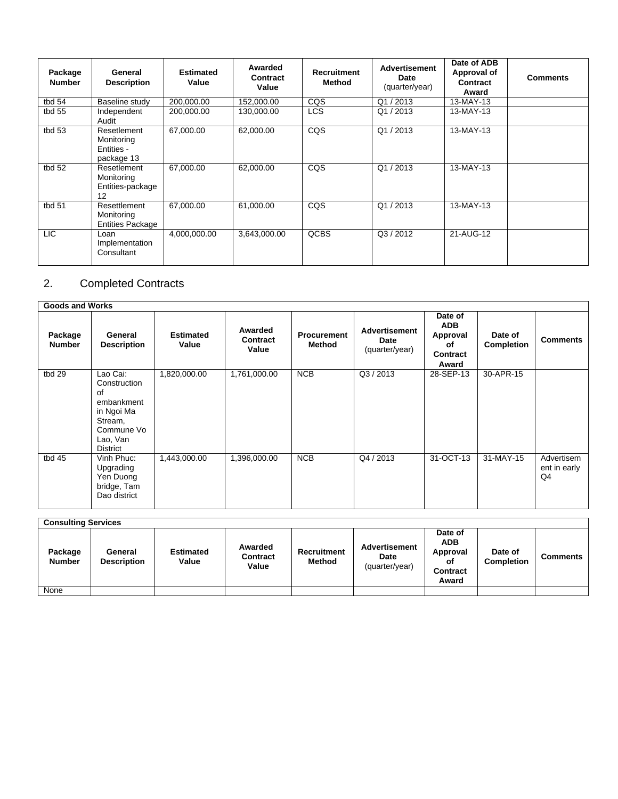| Package<br><b>Number</b> | General<br><b>Description</b>                         | <b>Estimated</b><br>Value | Awarded<br>Contract<br>Value | <b>Recruitment</b><br>Method | <b>Advertisement</b><br><b>Date</b><br>(quarter/year) | Date of ADB<br>Approval of<br>Contract<br>Award | <b>Comments</b> |
|--------------------------|-------------------------------------------------------|---------------------------|------------------------------|------------------------------|-------------------------------------------------------|-------------------------------------------------|-----------------|
| tbd 54                   | Baseline study                                        | 200.000.00                | 152,000.00                   | CQS                          | Q1/2013                                               | 13-MAY-13                                       |                 |
| tbd $55$                 | Independent<br>Audit                                  | 200.000.00                | 130.000.00                   | <b>LCS</b>                   | Q1/2013                                               | 13-MAY-13                                       |                 |
| tbd 53                   | Resetlement<br>Monitoring<br>Entities -<br>package 13 | 67,000.00                 | 62,000.00                    | CQS                          | Q1/2013                                               | 13-MAY-13                                       |                 |
| tbd 52                   | Resetlement<br>Monitoring<br>Entities-package<br>12   | 67,000.00                 | 62,000.00                    | CQS                          | Q1/2013                                               | 13-MAY-13                                       |                 |
| tbd 51                   | Resettlement<br>Monitoring<br><b>Entities Package</b> | 67,000.00                 | 61,000.00                    | CQS                          | Q1/2013                                               | 13-MAY-13                                       |                 |
| LIC <sub></sub>          | Loan<br>Implementation<br>Consultant                  | 4,000,000.00              | 3,643,000.00                 | QCBS                         | Q3/2012                                               | 21-AUG-12                                       |                 |

# 2. Completed Contracts

| <b>Goods and Works</b>   |                                                                                                             |                           |                                     |                              |                                                |                                                              |                              |                                  |  |  |
|--------------------------|-------------------------------------------------------------------------------------------------------------|---------------------------|-------------------------------------|------------------------------|------------------------------------------------|--------------------------------------------------------------|------------------------------|----------------------------------|--|--|
| Package<br><b>Number</b> | General<br><b>Description</b>                                                                               | <b>Estimated</b><br>Value | Awarded<br><b>Contract</b><br>Value | <b>Procurement</b><br>Method | <b>Advertisement</b><br>Date<br>(quarter/year) | Date of<br><b>ADB</b><br>Approval<br>οf<br>Contract<br>Award | Date of<br><b>Completion</b> | <b>Comments</b>                  |  |  |
| tbd 29                   | Lao Cai:<br>Construction<br>0f<br>embankment<br>in Ngoi Ma<br>Stream,<br>Commune Vo<br>Lao, Van<br>District | 1,820,000.00              | 1,761,000.00                        | <b>NCB</b>                   | Q3 / 2013                                      | 28-SEP-13                                                    | 30-APR-15                    |                                  |  |  |
| tbd 45                   | Vinh Phuc:<br>Upgrading<br>Yen Duong<br>bridge, Tam<br>Dao district                                         | 1,443,000.00              | 1,396,000.00                        | <b>NCB</b>                   | Q4 / 2013                                      | 31-OCT-13                                                    | 31-MAY-15                    | Advertisem<br>ent in early<br>Q4 |  |  |

| <b>Consulting Services</b> |                               |                           |                                     |                       |                                         |                                                                     |                              |          |  |  |
|----------------------------|-------------------------------|---------------------------|-------------------------------------|-----------------------|-----------------------------------------|---------------------------------------------------------------------|------------------------------|----------|--|--|
| Package<br><b>Number</b>   | General<br><b>Description</b> | <b>Estimated</b><br>Value | Awarded<br><b>Contract</b><br>Value | Recruitment<br>Method | Advertisement<br>Date<br>(quarter/year) | Date of<br><b>ADB</b><br>Approval<br>οf<br><b>Contract</b><br>Award | Date of<br><b>Completion</b> | Comments |  |  |
| None                       |                               |                           |                                     |                       |                                         |                                                                     |                              |          |  |  |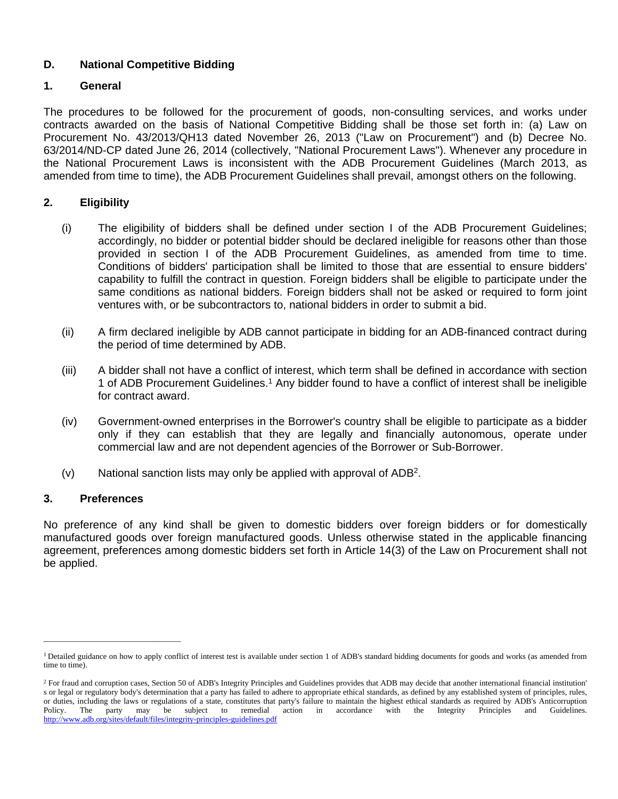# **D. National Competitive Bidding**

# **1. General**

The procedures to be followed for the procurement of goods, non-consulting services, and works under contracts awarded on the basis of National Competitive Bidding shall be those set forth in: (a) Law on Procurement No. 43/2013/QH13 dated November 26, 2013 ("Law on Procurement") and (b) Decree No. 63/2014/ND-CP dated June 26, 2014 (collectively, "National Procurement Laws"). Whenever any procedure in the National Procurement Laws is inconsistent with the ADB Procurement Guidelines (March 2013, as amended from time to time), the ADB Procurement Guidelines shall prevail, amongst others on the following.

# **2. Eligibility**

- (i) The eligibility of bidders shall be defined under section I of the ADB Procurement Guidelines; accordingly, no bidder or potential bidder should be declared ineligible for reasons other than those provided in section I of the ADB Procurement Guidelines, as amended from time to time. Conditions of bidders' participation shall be limited to those that are essential to ensure bidders' capability to fulfill the contract in question. Foreign bidders shall be eligible to participate under the same conditions as national bidders. Foreign bidders shall not be asked or required to form joint ventures with, or be subcontractors to, national bidders in order to submit a bid.
- (ii) A firm declared ineligible by ADB cannot participate in bidding for an ADB-financed contract during the period of time determined by ADB.
- (iii) A bidder shall not have a conflict of interest, which term shall be defined in accordance with section 1 of ADB Procurement Guidelines.<sup>1</sup> Any bidder found to have a conflict of interest shall be ineligible for contract award.
- (iv) Government-owned enterprises in the Borrower's country shall be eligible to participate as a bidder only if they can establish that they are legally and financially autonomous, operate under commercial law and are not dependent agencies of the Borrower or Sub-Borrower.
- (v) National sanction lists may only be applied with approval of ADB<sup>2</sup> .

# **3. Preferences**

 $\overline{\phantom{a}}$  , and the set of the set of the set of the set of the set of the set of the set of the set of the set of the set of the set of the set of the set of the set of the set of the set of the set of the set of the s

No preference of any kind shall be given to domestic bidders over foreign bidders or for domestically manufactured goods over foreign manufactured goods. Unless otherwise stated in the applicable financing agreement, preferences among domestic bidders set forth in Article 14(3) of the Law on Procurement shall not be applied.

<sup>&</sup>lt;sup>1</sup> Detailed guidance on how to apply conflict of interest test is available under section 1 of ADB's standard bidding documents for goods and works (as amended from time to time).

<sup>&</sup>lt;sup>2</sup> For fraud and corruption cases, Section 50 of ADB's Integrity Principles and Guidelines provides that ADB may decide that another international financial institution' s or legal or regulatory body's determination that a party has failed to adhere to appropriate ethical standards, as defined by any established system of principles, rules, or duties, including the laws or regulations of a state, constitutes that party's failure to maintain the highest ethical standards as required by ADB's Anticorruption Policy. The party may be subject to remedial action in Policy. The party may be subject to remedial action in accordance with the Integrity Principles and Guidelines. <http://www.adb.org/sites/default/files/integrity-principles-guidelines.pdf>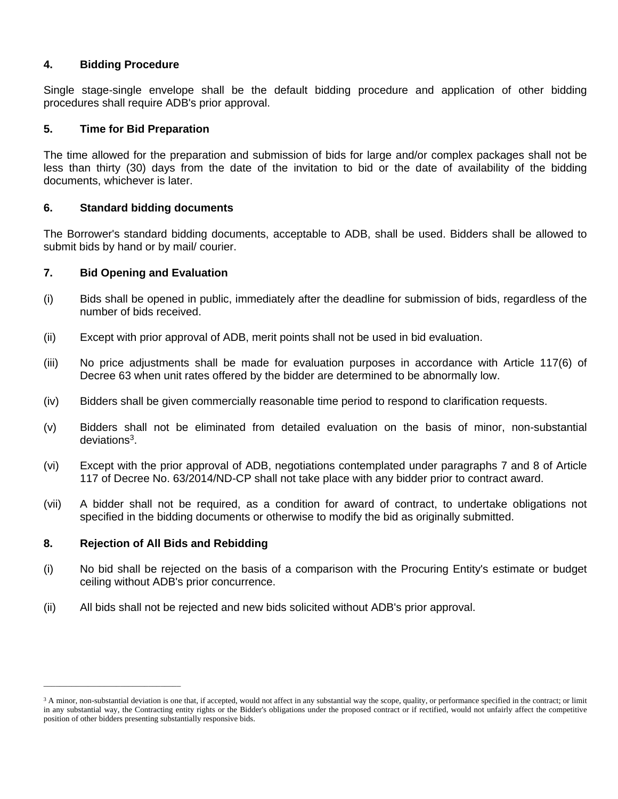#### **4. Bidding Procedure**

Single stage-single envelope shall be the default bidding procedure and application of other bidding procedures shall require ADB's prior approval.

#### **5. Time for Bid Preparation**

The time allowed for the preparation and submission of bids for large and/or complex packages shall not be less than thirty (30) days from the date of the invitation to bid or the date of availability of the bidding documents, whichever is later.

#### **6. Standard bidding documents**

The Borrower's standard bidding documents, acceptable to ADB, shall be used. Bidders shall be allowed to submit bids by hand or by mail/ courier.

#### **7. Bid Opening and Evaluation**

- (i) Bids shall be opened in public, immediately after the deadline for submission of bids, regardless of the number of bids received.
- (ii) Except with prior approval of ADB, merit points shall not be used in bid evaluation.
- (iii) No price adjustments shall be made for evaluation purposes in accordance with Article 117(6) of Decree 63 when unit rates offered by the bidder are determined to be abnormally low.
- (iv) Bidders shall be given commercially reasonable time period to respond to clarification requests.
- (v) Bidders shall not be eliminated from detailed evaluation on the basis of minor, non-substantial deviations<sup>3</sup>.
- (vi) Except with the prior approval of ADB, negotiations contemplated under paragraphs 7 and 8 of Article 117 of Decree No. 63/2014/ND-CP shall not take place with any bidder prior to contract award.
- (vii) A bidder shall not be required, as a condition for award of contract, to undertake obligations not specified in the bidding documents or otherwise to modify the bid as originally submitted.

#### **8. Rejection of All Bids and Rebidding**

\_\_\_\_\_\_\_\_\_\_\_\_\_\_\_\_\_\_\_\_\_\_\_\_\_\_\_\_\_\_\_\_\_\_

- (i) No bid shall be rejected on the basis of a comparison with the Procuring Entity's estimate or budget ceiling without ADB's prior concurrence.
- (ii) All bids shall not be rejected and new bids solicited without ADB's prior approval.

<sup>&</sup>lt;sup>3</sup> A minor, non-substantial deviation is one that, if accepted, would not affect in any substantial way the scope, quality, or performance specified in the contract; or limit in any substantial way, the Contracting entity rights or the Bidder's obligations under the proposed contract or if rectified, would not unfairly affect the competitive position of other bidders presenting substantially responsive bids.